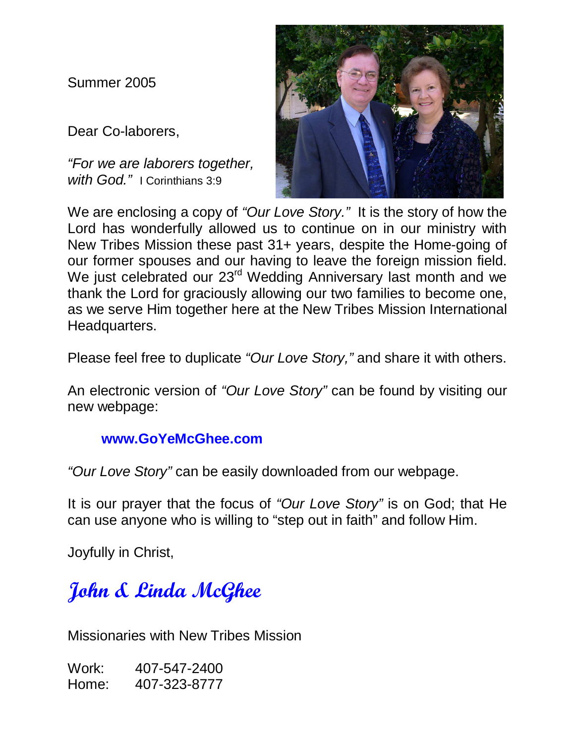Summer 2005

Dear Co-laborers,

"For we are laborers together, with God." | Corinthians 3:9



We are enclosing a copy of "Our Love Story." It is the story of how the Lord has wonderfully allowed us to continue on in our ministry with New Tribes Mission these past 31+ years, despite the Home-going of our former spouses and our having to leave the foreign mission field. We just celebrated our 23<sup>rd</sup> Wedding Anniversary last month and we thank the Lord for graciously allowing our two families to become one, as we serve Him together here at the New Tribes Mission International Headquarters.

Please feel free to duplicate "Our Love Story," and share it with others.

An electronic version of "Our Love Story" can be found by visiting our new webpage:

## **www.GoYeMcGhee.com**

"Our Love Story" can be easily downloaded from our webpage.

It is our prayer that the focus of "Our Love Story" is on God; that He can use anyone who is willing to "step out in faith" and follow Him.

Joyfully in Christ,

## John & Linda McGhee

Missionaries with New Tribes Mission

Work: 407-547-2400 Home: 407-323-8777